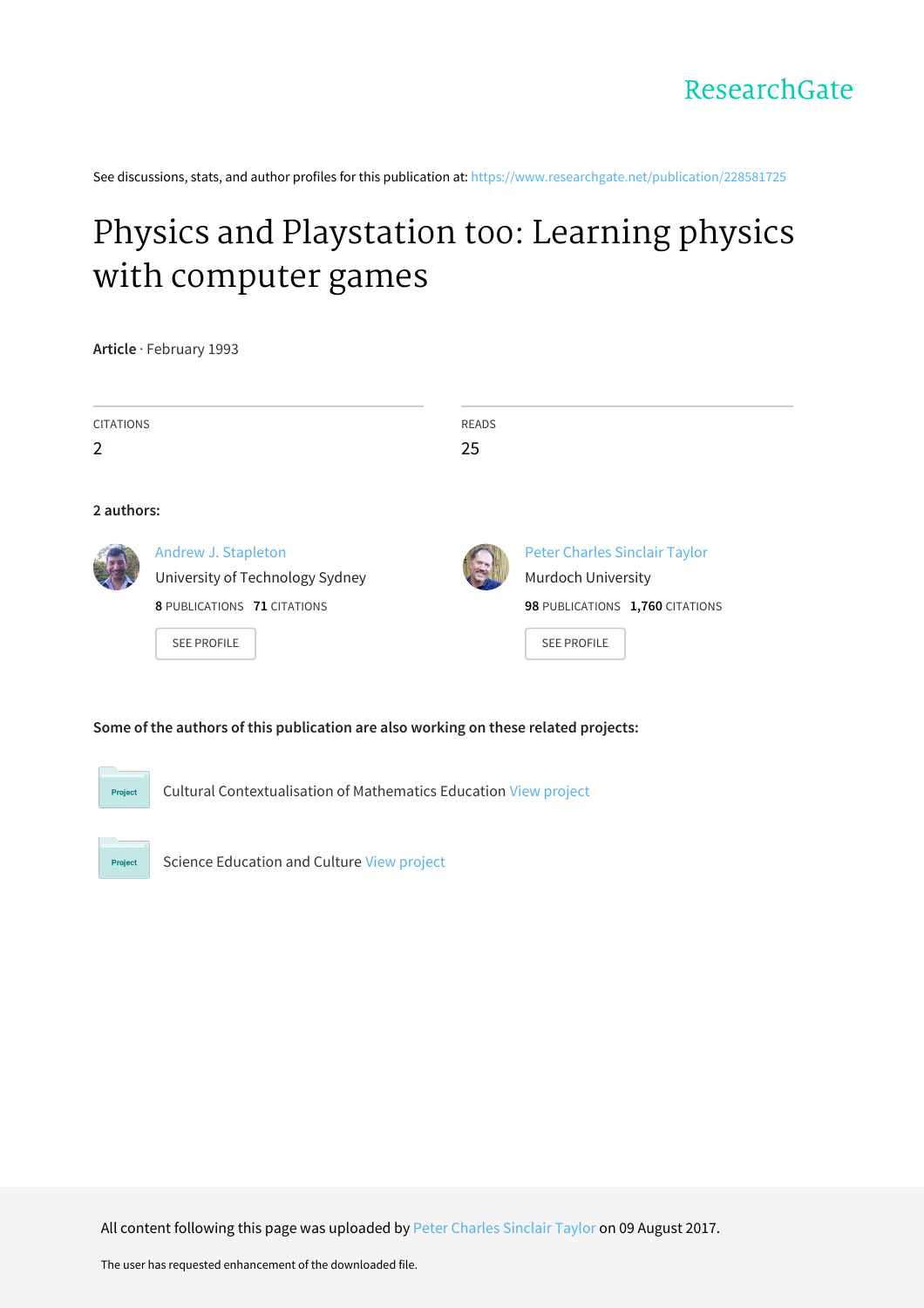See discussions, stats, and author profiles for this publication at: [https://www.researchgate.net/publication/228581725](https://www.researchgate.net/publication/228581725_Physics_and_Playstation_too_Learning_physics_with_computer_games?enrichId=rgreq-506de372899ba67f1a13f2e53db1e426-XXX&enrichSource=Y292ZXJQYWdlOzIyODU4MTcyNTtBUzo5NzQwMTE5Mjg0NTMzM0AxNDAwMjMzNjYzMDAw&el=1_x_2&_esc=publicationCoverPdf)

# Physics and [Playstation](https://www.researchgate.net/publication/228581725_Physics_and_Playstation_too_Learning_physics_with_computer_games?enrichId=rgreq-506de372899ba67f1a13f2e53db1e426-XXX&enrichSource=Y292ZXJQYWdlOzIyODU4MTcyNTtBUzo5NzQwMTE5Mjg0NTMzM0AxNDAwMjMzNjYzMDAw&el=1_x_3&_esc=publicationCoverPdf) too: Learning physics with computer games

**Article** · February 1993

| <b>CITATIONS</b> |                                 | <b>READS</b> |                                      |  |
|------------------|---------------------------------|--------------|--------------------------------------|--|
| $\overline{2}$   |                                 | 25           |                                      |  |
|                  |                                 |              |                                      |  |
| 2 authors:       |                                 |              |                                      |  |
|                  | Andrew J. Stapleton             |              | <b>Peter Charles Sinclair Taylor</b> |  |
|                  | University of Technology Sydney |              | Murdoch University                   |  |
|                  | 8 PUBLICATIONS 71 CITATIONS     |              | 98 PUBLICATIONS 1,760 CITATIONS      |  |
|                  | <b>SEE PROFILE</b>              |              | <b>SEE PROFILE</b>                   |  |
|                  |                                 |              |                                      |  |

#### **Some of the authors of this publication are also working on these related projects:**



Cultural Contextualisation of Mathematics Education View [project](https://www.researchgate.net/project/Cultural-Contextualisation-of-Mathematics-Education?enrichId=rgreq-506de372899ba67f1a13f2e53db1e426-XXX&enrichSource=Y292ZXJQYWdlOzIyODU4MTcyNTtBUzo5NzQwMTE5Mjg0NTMzM0AxNDAwMjMzNjYzMDAw&el=1_x_9&_esc=publicationCoverPdf)



Science Education and Culture View [project](https://www.researchgate.net/project/Science-Education-and-Culture?enrichId=rgreq-506de372899ba67f1a13f2e53db1e426-XXX&enrichSource=Y292ZXJQYWdlOzIyODU4MTcyNTtBUzo5NzQwMTE5Mjg0NTMzM0AxNDAwMjMzNjYzMDAw&el=1_x_9&_esc=publicationCoverPdf)

All content following this page was uploaded by Peter [Charles](https://www.researchgate.net/profile/Peter_Taylor11?enrichId=rgreq-506de372899ba67f1a13f2e53db1e426-XXX&enrichSource=Y292ZXJQYWdlOzIyODU4MTcyNTtBUzo5NzQwMTE5Mjg0NTMzM0AxNDAwMjMzNjYzMDAw&el=1_x_10&_esc=publicationCoverPdf) Sinclair Taylor on 09 August 2017.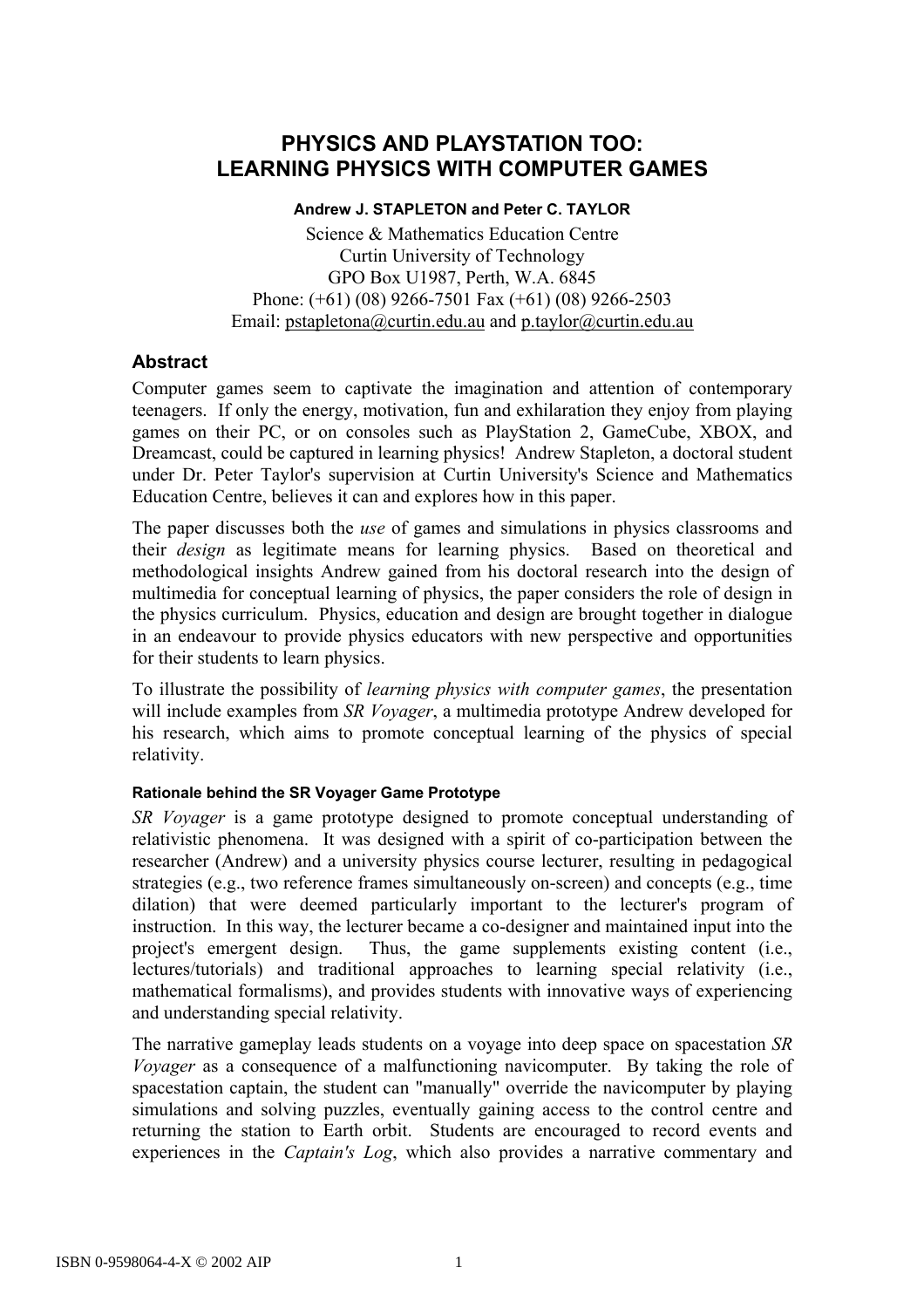# **PHYSICS AND PLAYSTATION TOO: LEARNING PHYSICS WITH COMPUTER GAMES**

#### **Andrew J. STAPLETON and Peter C. TAYLOR**

Science & Mathematics Education Centre Curtin University of Technology GPO Box U1987, Perth, W.A. 6845 Phone: (+61) (08) 9266-7501 Fax (+61) (08) 9266-2503 Email: pstapletona@curtin.edu.au and p.taylor@curtin.edu.au

## **Abstract**

Computer games seem to captivate the imagination and attention of contemporary teenagers. If only the energy, motivation, fun and exhilaration they enjoy from playing games on their PC, or on consoles such as PlayStation 2, GameCube, XBOX, and Dreamcast, could be captured in learning physics! Andrew Stapleton, a doctoral student under Dr. Peter Taylor's supervision at Curtin University's Science and Mathematics Education Centre, believes it can and explores how in this paper.

The paper discusses both the *use* of games and simulations in physics classrooms and their *design* as legitimate means for learning physics. Based on theoretical and methodological insights Andrew gained from his doctoral research into the design of multimedia for conceptual learning of physics, the paper considers the role of design in the physics curriculum. Physics, education and design are brought together in dialogue in an endeavour to provide physics educators with new perspective and opportunities for their students to learn physics.

To illustrate the possibility of *learning physics with computer games*, the presentation will include examples from *SR Voyager*, a multimedia prototype Andrew developed for his research, which aims to promote conceptual learning of the physics of special relativity.

#### **Rationale behind the SR Voyager Game Prototype**

*SR Voyager* is a game prototype designed to promote conceptual understanding of relativistic phenomena. It was designed with a spirit of co-participation between the researcher (Andrew) and a university physics course lecturer, resulting in pedagogical strategies (e.g., two reference frames simultaneously on-screen) and concepts (e.g., time dilation) that were deemed particularly important to the lecturer's program of instruction. In this way, the lecturer became a co-designer and maintained input into the project's emergent design. Thus, the game supplements existing content (i.e., lectures/tutorials) and traditional approaches to learning special relativity (i.e., mathematical formalisms), and provides students with innovative ways of experiencing and understanding special relativity.

The narrative gameplay leads students on a voyage into deep space on spacestation *SR Voyager* as a consequence of a malfunctioning navicomputer. By taking the role of spacestation captain, the student can "manually" override the navicomputer by playing simulations and solving puzzles, eventually gaining access to the control centre and returning the station to Earth orbit. Students are encouraged to record events and experiences in the *Captain's Log*, which also provides a narrative commentary and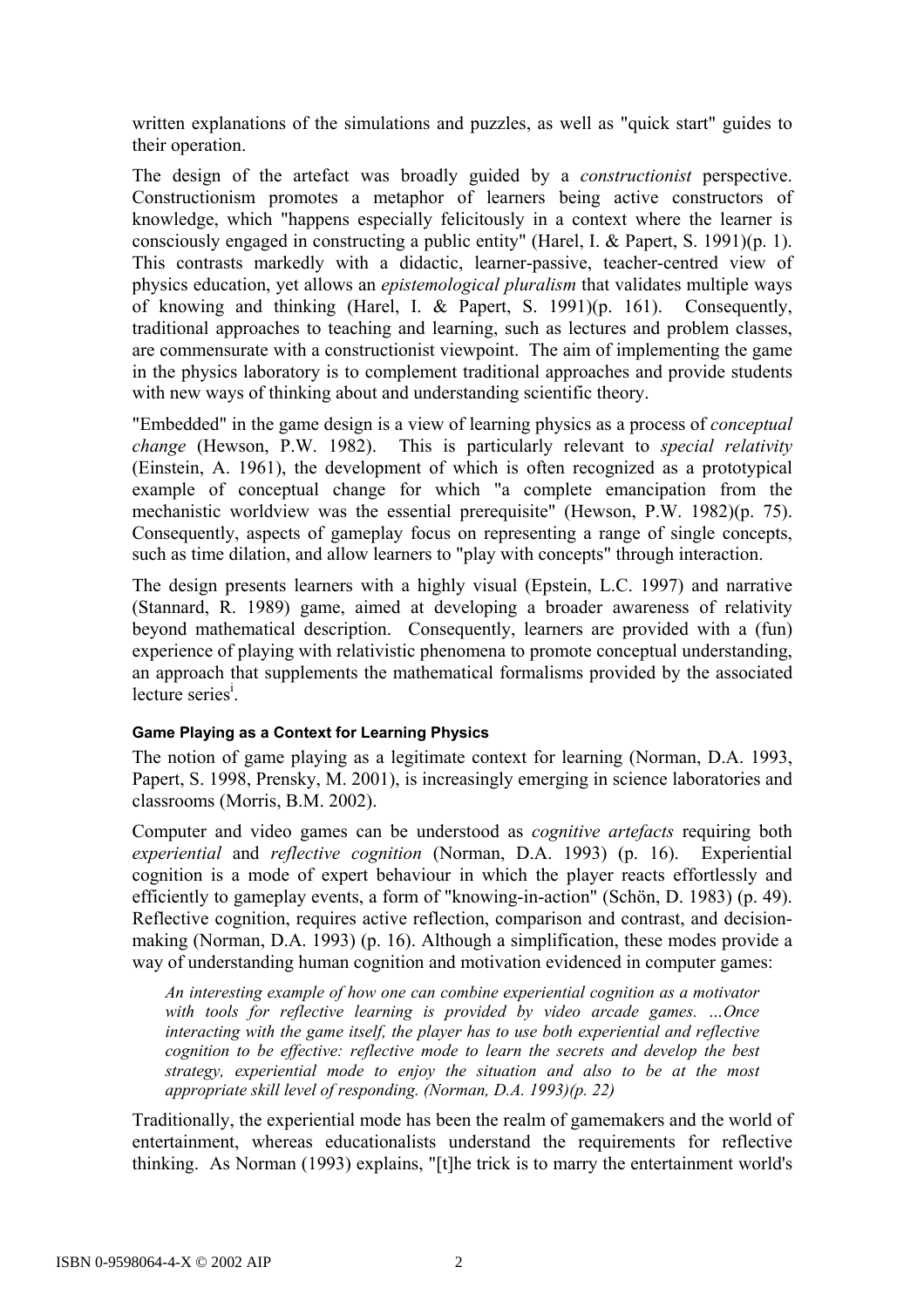written explanations of the simulations and puzzles, as well as "quick start" guides to their operation.

The design of the artefact was broadly guided by a *constructionist* perspective. Constructionism promotes a metaphor of learners being active constructors of knowledge, which "happens especially felicitously in a context where the learner is consciously engaged in constructing a public entity" (Harel, I. & Papert, S. 1991)(p. 1). This contrasts markedly with a didactic, learner-passive, teacher-centred view of physics education, yet allows an *epistemological pluralism* that validates multiple ways of knowing and thinking (Harel, I. & Papert, S. 1991)(p. 161). Consequently, traditional approaches to teaching and learning, such as lectures and problem classes, are commensurate with a constructionist viewpoint. The aim of implementing the game in the physics laboratory is to complement traditional approaches and provide students with new ways of thinking about and understanding scientific theory.

"Embedded" in the game design is a view of learning physics as a process of *conceptual change* (Hewson, P.W. 1982). This is particularly relevant to *special relativity* (Einstein, A. 1961), the development of which is often recognized as a prototypical example of conceptual change for which "a complete emancipation from the mechanistic worldview was the essential prerequisite" (Hewson, P.W. 1982)(p. 75). Consequently, aspects of gameplay focus on representing a range of single concepts, such as time dilation, and allow learners to "play with concepts" through interaction.

The design presents learners with a highly visual (Epstein, L.C. 1997) and narrative (Stannard, R. 1989) game, aimed at developing a broader awareness of relativity beyond mathematical description. Consequently, learners are provided with a (fun) experience of playing with relativistic phenomena to promote conceptual understanding, an approach that supplements the mathematical formalisms provided by the associated  $lecture series<sup>i</sup>$ .

#### **Game Playing as a Context for Learning Physics**

The notion of game playing as a legitimate context for learning (Norman, D.A. 1993, Papert, S. 1998, Prensky, M. 2001), is increasingly emerging in science laboratories and classrooms (Morris, B.M. 2002).

Computer and video games can be understood as *cognitive artefacts* requiring both *experiential* and *reflective cognition* (Norman, D.A. 1993) (p. 16). Experiential cognition is a mode of expert behaviour in which the player reacts effortlessly and efficiently to gameplay events, a form of "knowing-in-action" (Schön, D. 1983) (p. 49). Reflective cognition, requires active reflection, comparison and contrast, and decisionmaking (Norman, D.A. 1993) (p. 16). Although a simplification, these modes provide a way of understanding human cognition and motivation evidenced in computer games:

*An interesting example of how one can combine experiential cognition as a motivator with tools for reflective learning is provided by video arcade games. …Once interacting with the game itself, the player has to use both experiential and reflective cognition to be effective: reflective mode to learn the secrets and develop the best strategy, experiential mode to enjoy the situation and also to be at the most appropriate skill level of responding. (Norman, D.A. 1993)(p. 22)* 

Traditionally, the experiential mode has been the realm of gamemakers and the world of entertainment, whereas educationalists understand the requirements for reflective thinking. As Norman (1993) explains, "[t]he trick is to marry the entertainment world's